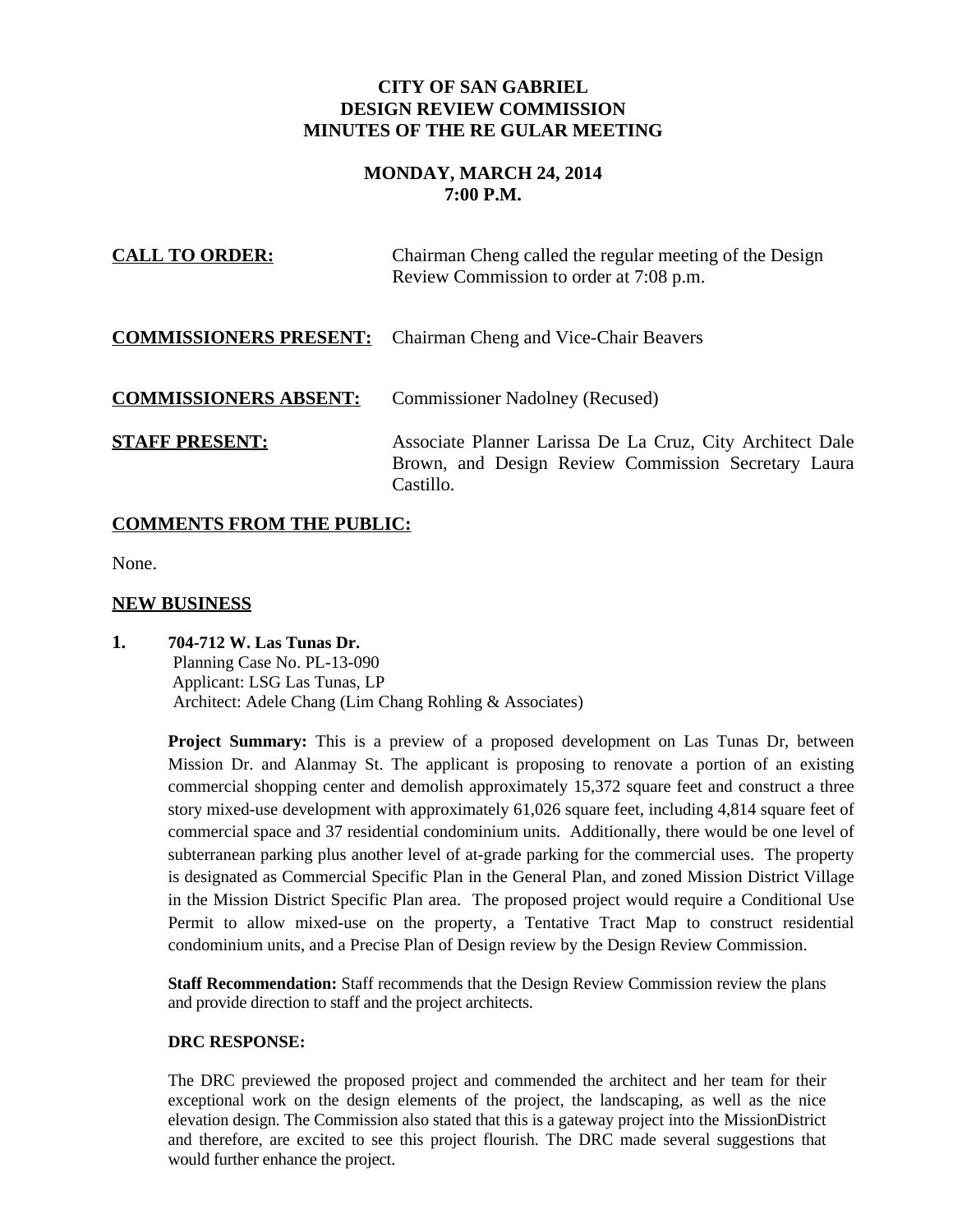## **CITY OF SAN GABRIEL DESIGN REVIEW COMMISSION MINUTES OF THE RE GULAR MEETING**

# **MONDAY, MARCH 24, 2014 7:00 P.M.**

| <b>CALL TO ORDER:</b>        | Chairman Cheng called the regular meeting of the Design<br>Review Commission to order at 7:08 p.m.                            |
|------------------------------|-------------------------------------------------------------------------------------------------------------------------------|
|                              | <b>COMMISSIONERS PRESENT:</b> Chairman Cheng and Vice-Chair Beavers                                                           |
| <b>COMMISSIONERS ABSENT:</b> | <b>Commissioner Nadolney (Recused)</b>                                                                                        |
| <b>STAFF PRESENT:</b>        | Associate Planner Larissa De La Cruz, City Architect Dale<br>Brown, and Design Review Commission Secretary Laura<br>Castillo. |

## **COMMENTS FROM THE PUBLIC:**

None.

## **NEW BUSINESS**

**1. 704-712 W. Las Tunas Dr.** Planning Case No. PL-13-090 Applicant: LSG Las Tunas, LP Architect: Adele Chang (Lim Chang Rohling & Associates)

> **Project Summary:** This is a preview of a proposed development on Las Tunas Dr, between Mission Dr. and Alanmay St. The applicant is proposing to renovate a portion of an existing commercial shopping center and demolish approximately 15,372 square feet and construct a three story mixed-use development with approximately 61,026 square feet, including 4,814 square feet of commercial space and 37 residential condominium units. Additionally, there would be one level of subterranean parking plus another level of at-grade parking for the commercial uses. The property is designated as Commercial Specific Plan in the General Plan, and zoned Mission District Village in the Mission District Specific Plan area. The proposed project would require a Conditional Use Permit to allow mixed-use on the property, a Tentative Tract Map to construct residential condominium units, and a Precise Plan of Design review by the Design Review Commission.

**Staff Recommendation:** Staff recommends that the Design Review Commission review the plans and provide direction to staff and the project architects.

#### **DRC RESPONSE:**

The DRC previewed the proposed project and commended the architect and her team for their exceptional work on the design elements of the project, the landscaping, as well as the nice elevation design. The Commission also stated that this is a gateway project into the MissionDistrict and therefore, are excited to see this project flourish. The DRC made several suggestions that would further enhance the project.